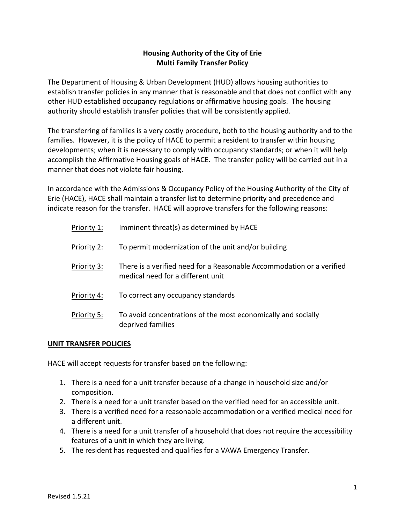# **Housing Authority of the City of Erie Multi Family Transfer Policy**

The Department of Housing & Urban Development (HUD) allows housing authorities to establish transfer policies in any manner that is reasonable and that does not conflict with any other HUD established occupancy regulations or affirmative housing goals. The housing authority should establish transfer policies that will be consistently applied.

The transferring of families is a very costly procedure, both to the housing authority and to the families. However, it is the policy of HACE to permit a resident to transfer within housing developments; when it is necessary to comply with occupancy standards; or when it will help accomplish the Affirmative Housing goals of HACE. The transfer policy will be carried out in a manner that does not violate fair housing.

In accordance with the Admissions & Occupancy Policy of the Housing Authority of the City of Erie (HACE), HACE shall maintain a transfer list to determine priority and precedence and indicate reason for the transfer. HACE will approve transfers for the following reasons:

| Priority 1: | Imminent threat(s) as determined by HACE                                                                   |
|-------------|------------------------------------------------------------------------------------------------------------|
| Priority 2: | To permit modernization of the unit and/or building                                                        |
| Priority 3: | There is a verified need for a Reasonable Accommodation or a verified<br>medical need for a different unit |
| Priority 4: | To correct any occupancy standards                                                                         |
| Priority 5: | To avoid concentrations of the most economically and socially<br>deprived families                         |

# **UNIT TRANSFER POLICIES**

HACE will accept requests for transfer based on the following:

- 1. There is a need for a unit transfer because of a change in household size and/or composition.
- 2. There is a need for a unit transfer based on the verified need for an accessible unit.
- 3. There is a verified need for a reasonable accommodation or a verified medical need for a different unit.
- 4. There is a need for a unit transfer of a household that does not require the accessibility features of a unit in which they are living.
- 5. The resident has requested and qualifies for a VAWA Emergency Transfer.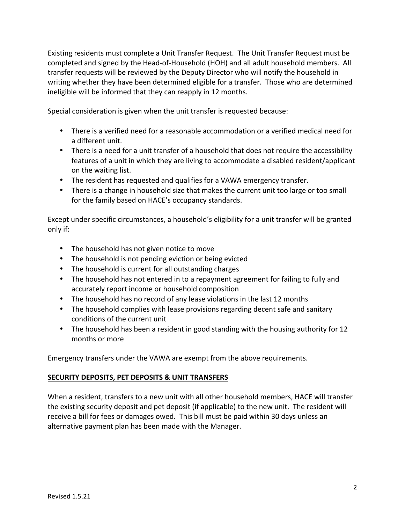Existing residents must complete a Unit Transfer Request. The Unit Transfer Request must be completed and signed by the Head-of-Household (HOH) and all adult household members. All transfer requests will be reviewed by the Deputy Director who will notify the household in writing whether they have been determined eligible for a transfer. Those who are determined ineligible will be informed that they can reapply in 12 months.

Special consideration is given when the unit transfer is requested because:

- There is a verified need for a reasonable accommodation or a verified medical need for a different unit.
- There is a need for a unit transfer of a household that does not require the accessibility features of a unit in which they are living to accommodate a disabled resident/applicant on the waiting list.
- The resident has requested and qualifies for a VAWA emergency transfer.
- There is a change in household size that makes the current unit too large or too small for the family based on HACE's occupancy standards.

Except under specific circumstances, a household's eligibility for a unit transfer will be granted only if:

- The household has not given notice to move
- The household is not pending eviction or being evicted
- The household is current for all outstanding charges
- The household has not entered in to a repayment agreement for failing to fully and accurately report income or household composition
- The household has no record of any lease violations in the last 12 months
- The household complies with lease provisions regarding decent safe and sanitary conditions of the current unit
- The household has been a resident in good standing with the housing authority for 12 months or more

Emergency transfers under the VAWA are exempt from the above requirements.

# **SECURITY DEPOSITS, PET DEPOSITS & UNIT TRANSFERS**

When a resident, transfers to a new unit with all other household members, HACE will transfer the existing security deposit and pet deposit (if applicable) to the new unit. The resident will receive a bill for fees or damages owed. This bill must be paid within 30 days unless an alternative payment plan has been made with the Manager.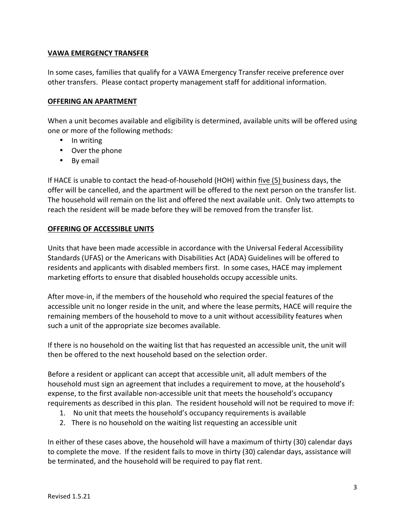### **VAWA EMERGENCY TRANSFER**

In some cases, families that qualify for a VAWA Emergency Transfer receive preference over other transfers. Please contact property management staff for additional information.

### **OFFERING AN APARTMENT**

When a unit becomes available and eligibility is determined, available units will be offered using one or more of the following methods:

- In writing
- Over the phone
- By email

If HACE is unable to contact the head-of-household (HOH) within five (5) business days, the offer will be cancelled, and the apartment will be offered to the next person on the transfer list. The household will remain on the list and offered the next available unit. Only two attempts to reach the resident will be made before they will be removed from the transfer list.

#### **OFFERING OF ACCESSIBLE UNITS**

Units that have been made accessible in accordance with the Universal Federal Accessibility Standards (UFAS) or the Americans with Disabilities Act (ADA) Guidelines will be offered to residents and applicants with disabled members first. In some cases, HACE may implement marketing efforts to ensure that disabled households occupy accessible units.

After move-in, if the members of the household who required the special features of the accessible unit no longer reside in the unit, and where the lease permits, HACE will require the remaining members of the household to move to a unit without accessibility features when such a unit of the appropriate size becomes available.

If there is no household on the waiting list that has requested an accessible unit, the unit will then be offered to the next household based on the selection order.

Before a resident or applicant can accept that accessible unit, all adult members of the household must sign an agreement that includes a requirement to move, at the household's expense, to the first available non-accessible unit that meets the household's occupancy requirements as described in this plan. The resident household will not be required to move if:

- 1. No unit that meets the household's occupancy requirements is available
- 2. There is no household on the waiting list requesting an accessible unit

In either of these cases above, the household will have a maximum of thirty (30) calendar days to complete the move. If the resident fails to move in thirty (30) calendar days, assistance will be terminated, and the household will be required to pay flat rent.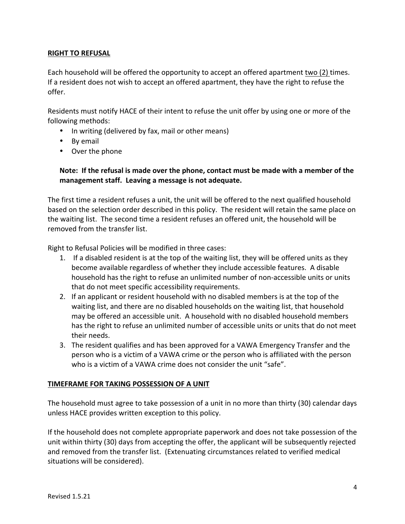### **RIGHT TO REFUSAL**

Each household will be offered the opportunity to accept an offered apartment two (2) times. If a resident does not wish to accept an offered apartment, they have the right to refuse the offer. 

Residents must notify HACE of their intent to refuse the unit offer by using one or more of the following methods:

- In writing (delivered by fax, mail or other means)
- By email
- Over the phone

### Note: If the refusal is made over the phone, contact must be made with a member of the management staff. Leaving a message is not adequate.

The first time a resident refuses a unit, the unit will be offered to the next qualified household based on the selection order described in this policy. The resident will retain the same place on the waiting list. The second time a resident refuses an offered unit, the household will be removed from the transfer list.

Right to Refusal Policies will be modified in three cases:

- 1. If a disabled resident is at the top of the waiting list, they will be offered units as they become available regardless of whether they include accessible features. A disable household has the right to refuse an unlimited number of non-accessible units or units that do not meet specific accessibility requirements.
- 2. If an applicant or resident household with no disabled members is at the top of the waiting list, and there are no disabled households on the waiting list, that household may be offered an accessible unit. A household with no disabled household members has the right to refuse an unlimited number of accessible units or units that do not meet their needs.
- 3. The resident qualifies and has been approved for a VAWA Emergency Transfer and the person who is a victim of a VAWA crime or the person who is affiliated with the person who is a victim of a VAWA crime does not consider the unit "safe".

#### **TIMEFRAME FOR TAKING POSSESSION OF A UNIT**

The household must agree to take possession of a unit in no more than thirty (30) calendar days unless HACE provides written exception to this policy.

If the household does not complete appropriate paperwork and does not take possession of the unit within thirty (30) days from accepting the offer, the applicant will be subsequently rejected and removed from the transfer list. (Extenuating circumstances related to verified medical situations will be considered).